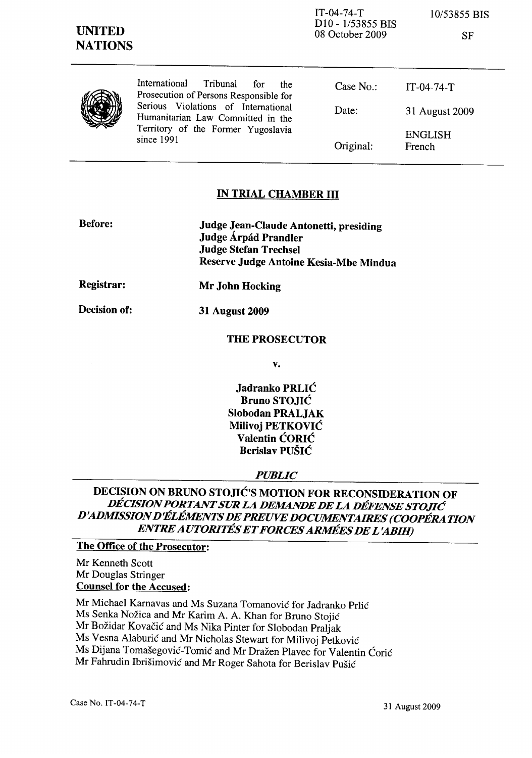| <b>UNITED</b><br><b>NATIONS</b> |                                                                                                                                                                                                                   | $IT-04-74-T$<br>D <sub>10</sub> - 1/53855 BIS<br>08 October 2009 | 10/53855 BIS<br>SF       |
|---------------------------------|-------------------------------------------------------------------------------------------------------------------------------------------------------------------------------------------------------------------|------------------------------------------------------------------|--------------------------|
|                                 | International<br>Tribunal<br>for<br>the<br>Prosecution of Persons Responsible for<br>Serious Violations of International<br>Humanitarian Law Committed in the<br>Territory of the Former Yugoslavia<br>since 1991 | Case $No.$ :                                                     | $IT-04-74-T$             |
|                                 |                                                                                                                                                                                                                   | Date:                                                            | 31 August 2009           |
|                                 |                                                                                                                                                                                                                   | Original:                                                        | <b>ENGLISH</b><br>French |

## IN TRIAL CHAMBER III

| <b>Before:</b> | Judge Jean-Claude Antonetti, presiding |
|----------------|----------------------------------------|
|                | Judge Árpád Prandler                   |
|                | <b>Judge Stefan Trechsel</b>           |
|                | Reserve Judge Antoine Kesia-Mbe Mindua |

Mr John Hocking

Registrar:

31 August 2009

Decision of:

THE PROSECUTOR

v.

Jadranko PRLIC Bruno STOJIC Slobodan PRALJAK Milivoj PETKOVIC Valentin CORIC Berislav PUSIC

## *PUBLIC*

# DECISION ON BRUNO STOJIC'S MOTION FOR RECONSIDERATION OF *DECISION PORTANT SUR LA DEMANDE DE LA DEFENSE STOJIe D'ADMISSION D'liLEMENTS DE PREUVE DOCUMENTAIRES (COOPERATION ENTRE AUTORITES ET FORCES ARMEES DE L'ABIH)*

## The Office of the Prosecutor:

Mr Kenneth Scott Mr Douglas Stringer Counsel for the Accused:

Mr Michael Karnavas and Ms Suzana Tomanovic for ladranko Prlic Ms Senka Nožica and Mr Karim A. A. Khan for Bruno Stojić Mr Božidar Kovačić and Ms Nika Pinter for Slobodan Praljak Ms Vesna Alaburić and Mr Nicholas Stewart for Milivoj Petković Ms Dijana Tomašegović-Tomić and Mr Dražen Plavec for Valentin Ćorić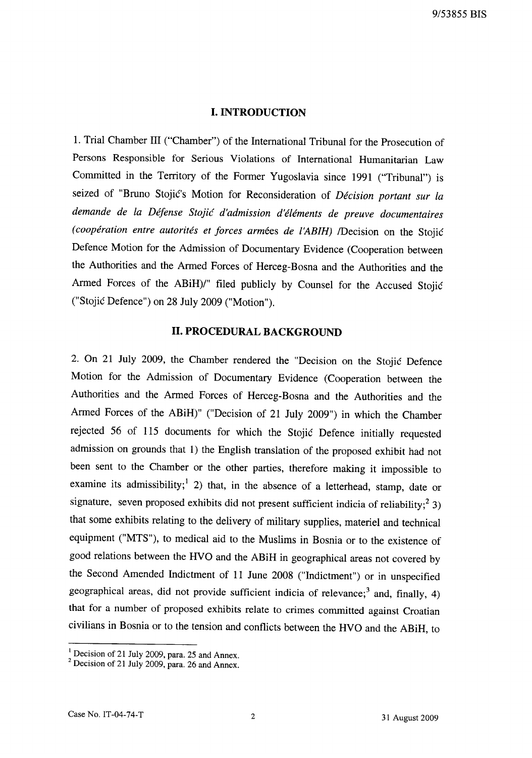## **I. INTRODUCTION**

1. Trial Chamber **III** ("Chamber") of the International Tribunal for the Prosecution of Persons Responsible for Serious Violations of International Humanitarian Law Committed in the Territory of the Former Yugoslavia since 1991 ("Tribunal") is seized of "Bruno Stojic's Motion for Reconsideration of *Decision portant sur La demande de La Defense Stojic d'admission d'eLements de preuve documentaires (coopération entre autorités et forces armées de l'ABIH) /Decision on the Stojić* Defence Motion for the Admission of Documentary Evidence (Cooperation between the Authorities and the Armed Forces of Herceg-Bosna and the Authorities and the Armed Forces of the ABiH)/" filed publicly by Counsel for the Accused Stojic ("Stojic Defence") on 28 July 2009 ("Motion").

## **II. PROCEDURAL BACKGROUND**

2. On 21 July 2009, the Chamber rendered the "Decision on the Stojic Defence Motion for the Admission of Documentary Evidence (Cooperation between the Authorities and the Armed Forces of Herceg-Bosna and the Authorities and the Armed Forces of the ABiH)" ("Decision of 21 July 2009") in which the Chamber rejected 56 of 115 documents for which the Stojic Defence initially requested admission on grounds that 1) the English translation of the proposed exhibit had not been sent to the Chamber or the other parties, therefore making it impossible to examine its admissibility;<sup>1</sup> 2) that, in the absence of a letterhead, stamp, date or signature, seven proposed exhibits did not present sufficient indicia of reliability;<sup>2</sup> 3) that some exhibits relating to the delivery of military supplies, materiel and technical equipment ("MTS"), to medical aid to the Muslims in Bosnia or to the existence of good relations between the HVO and the ABiH in geographical areas not covered by the Second Amended Indictment of **11** June 2008 ("Indictment") or in unspecified geographical areas, did not provide sufficient indicia of relevance;<sup>3</sup> and, finally, 4) that for a number of proposed exhibits relate to crimes committed against Croatian civilians in Bosnia or to the tension and conflicts between the HVO and the ABiH, to

<sup>&</sup>lt;sup>1</sup> Decision of 21 July 2009, para. 25 and Annex.

 $2$  Decision of 21 July 2009, para. 26 and Annex.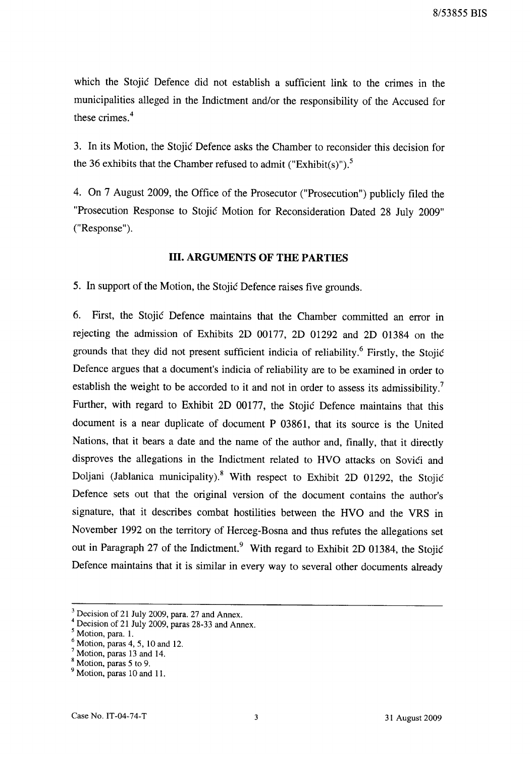which the Stojic Defence did not establish a sufficient link to the crimes in the municipalities alleged in the Indictment and/or the responsibility of the Accused for these crimes.<sup>4</sup>

3. In its Motion, the Stojic Defence asks the Chamber to reconsider this decision for the 36 exhibits that the Chamber refused to admit ("Exhibit(s)").<sup>5</sup>

4. On 7 August 2009, the Office of the Prosecutor ("Prosecution") publicly filed the "Prosecution Response to Stojic Motion for Reconsideration Dated 28 July 2009" ("Response").

### **III. ARGUMENTS OF THE PARTIES**

5. In support of the Motion, the Stojic Defence raises five grounds.

6. First, the Stojic Defence maintains that the Chamber committed an error in rejecting the admission of Exhibits 2D 00177, 2D 01292 and 2D 01384 on the grounds that they did not present sufficient indicia of reliability.<sup>6</sup> Firstly, the Stojić Defence argues that a document's indicia of reliability are to be examined in order to establish the weight to be accorded to it and not in order to assess its admissibility.<sup>7</sup> Further, with regard to Exhibit 2D 00177, the Stojic Defence maintains that this document is a near duplicate of document P 03861, that its source is the United Nations, that it bears a date and the name of the author and, finally, that it directly disproves the allegations in the Indictment related to HVO attacks on Sovići and Doljani (Jablanica municipality).8 With respect to Exhibit 2D 01292, the Stojic Defence sets out that the original version of the document contains the author's signature, that it describes combat hostilities between the HVO and the VRS in November 1992 on the territory of Herceg-Bosna and thus refutes the allegations set out in Paragraph 27 of the Indictment.<sup>9</sup> With regard to Exhibit 2D 01384, the Stojić Defence maintains that it is similar in every way to several other documents already

Decision of 21 July 2009, para. 27 and Annex.

Decision of 21 July 2009, paras 28-33 and Annex.

Motion, para. 1.

Motion, paras 4, 5, 10 and 12.

Motion, paras 13 and 14.

Motion, paras 5 to 9.

<sup>&</sup>lt;sup>9</sup> Motion, paras 10 and 11.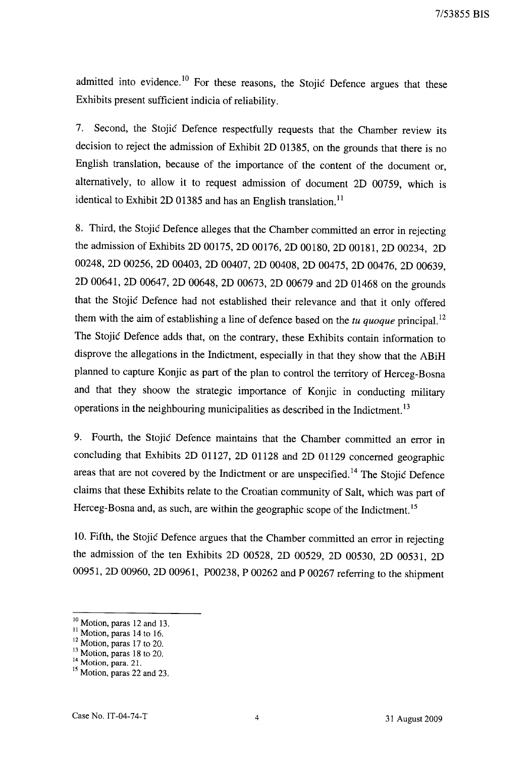admitted into evidence.<sup>10</sup> For these reasons, the Stojić Defence argues that these Exhibits present sufficient indicia of reliability.

7. Second, the Stojic Defence respectfully requests that the Chamber review its decision to reject the admission of Exhibit 2D 01385, on the grounds that there is no English translation, because of the importance of the content of the document or, alternatively, to allow it to request admission of document 2D 00759, which is identical to Exhibit 2D 01385 and has an English translation.<sup>11</sup>

8. Third, the Stojic Defence alleges that the Chamber committed an error in rejecting the admission of Exhibits 2D 00175, 2D 00176, 2D 00180, 2D 00181, 2D 00234, 2D 00248, 2D 00256, 2D 00403, 2D 00407, 2D 00408, 2D 00475, 2D 00476, 2D 00639, 2D 00641, 2D 00647, 2D 00648, 2D 00673, 2D 00679 and 2D 01468 on the grounds that the Stojic Defence had not established their relevance and that it only offered them with the aim of establishing a line of defence based on the *tu quoque* principal. 12 The Stojic Defence adds that, on the contrary, these Exhibits contain information to disprove the allegations in the Indictment, especially in that they show that the ABiH planned to capture Konjic as part of the plan to control the territory of Herceg-Bosna and that they shoow the strategic importance of Konjic in conducting military operations in the neighbouring municipalities as described in the Indictment. <sup>13</sup>

9. Fourth, the Stojic Defence maintains that the Chamber committed an error in concluding that Exhibits 2D 01127, 2D 01128 and 2D 01129 concerned geographic areas that are not covered by the Indictment or are unspecified.<sup>14</sup> The Stojić Defence claims that these Exhibits relate to the Croatian community of Salt, which was part of Herceg-Bosna and, as such, are within the geographic scope of the Indictment.<sup>15</sup>

10. Fifth, the Stojic Defence argues that the Chamber committed an error in rejecting the admission of the ten Exhibits 2D 00528, 2D 00529, 2D 00530, 2D 00531, 2D 00951, 2D 00960, 2D 00961, P00238, P 00262 and P 00267 referring to the shipment

<sup>&</sup>lt;sup>10</sup> Motion, paras 12 and 13.

 $\frac{11}{11}$  Motion, paras 14 to 16.

 $\frac{2}{3}$  Motion, paras 17 to 20.

 $\frac{3}{1}$  Motion, paras 18 to 20.

 $*$  Motion, para. 21.

Motion, paras 22 and 23.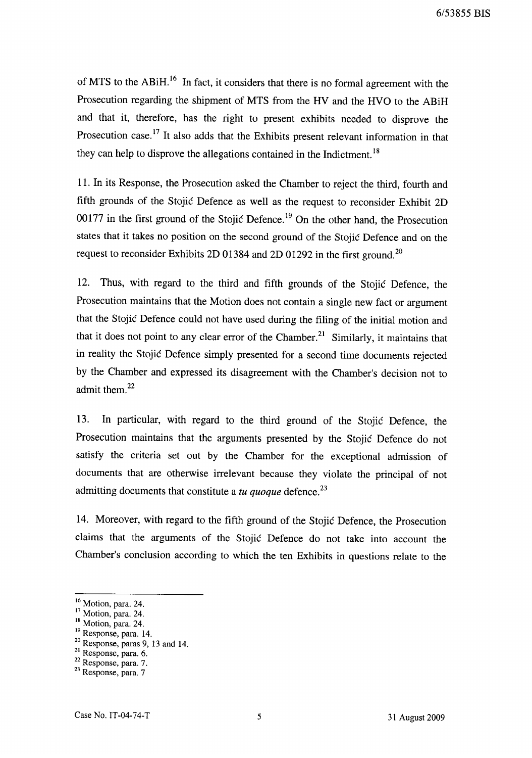of MTS to the ABiH.<sup>16</sup> In fact, it considers that there is no formal agreement with the Prosecution regarding the shipment of MTS from the HV and the HVO to the ABiH and that it, therefore, has the right to present exhibits needed to disprove the Prosecution case.<sup>17</sup> It also adds that the Exhibits present relevant information in that they can help to disprove the allegations contained in the Indictment.<sup>18</sup>

11. In its Response, the Prosecution asked the Chamber to reject the third, fourth and fifth grounds of the Stojic Defence as well as the request to reconsider Exhibit 2D 00177 in the first ground of the Stojic Defence.<sup>19</sup> On the other hand, the Prosecution states that it takes no position on the second ground of the Stojic Defence and on the request to reconsider Exhibits 2D 01384 and 2D 01292 in the first ground.<sup>20</sup>

12. Thus, with regard to the third and fifth grounds of the Stojic Defence, the Prosecution maintains that the Motion does not contain a single new fact or argument that the Stojic Defence could not have used during the filing of the initial motion and that it does not point to any clear error of the Chamber.<sup>21</sup> Similarly, it maintains that in reality the Stojic Defence simply presented for a second time documents rejected by the Chamber and expressed its disagreement with the Chamber's decision not to admit them.<sup>22</sup>

13. In particular, with regard to the third ground of the Stojic Defence, the Prosecution maintains that the arguments presented by the Stojic Defence do not satisfy the criteria set out by the Chamber for the exceptional admission of documents that are otherwise irrelevant because they violate the principal of not admitting documents that constitute a *tu quoque* defence. <sup>23</sup>

14. Moreover, with regard to the fifth ground of the Stojic Defence, the Prosecution claims that the arguments of the Stojic Defence do not take into account the Chamber's conclusion according to which the ten Exhibits in questions relate to the

<sup>&</sup>lt;sup>16</sup> Motion, para. 24.

<sup>&</sup>lt;sup>17</sup> Motion, para. 24.

<sup>&</sup>lt;sup>18</sup> Motion, para. 24.

<sup>&</sup>lt;sup>19</sup> Response, para. 14.

<sup>20</sup> Response, paras 9, 13 and 14.

<sup>21</sup> Response, para. 6.

 $22$  Response, para. 7.

<sup>23</sup> Response, para. 7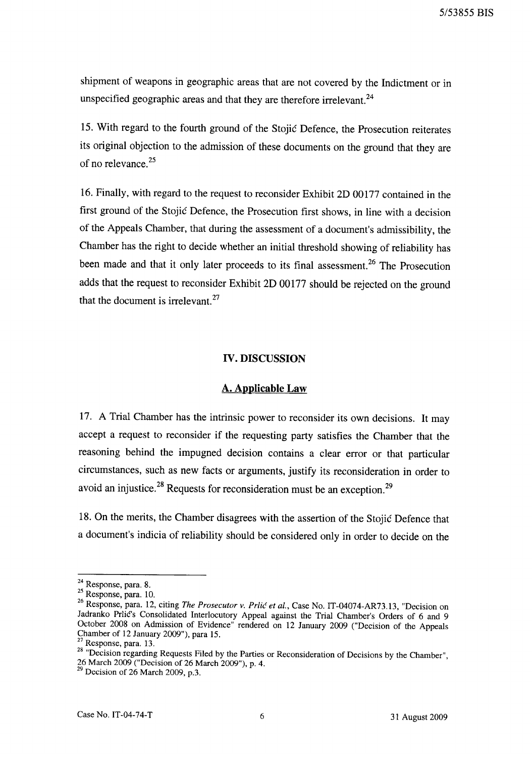shipment of weapons in geographic areas that are not covered by the Indictment or in unspecified geographic areas and that they are therefore irrelevant.<sup>24</sup>

15. With regard to the fourth ground of the Stojic Defence, the Prosecution reiterates its original objection to the admission of these documents on the ground that they are of no relevance.<sup>25</sup>

16. Finally, with regard to the request to reconsider Exhibit 2D 00177 contained in the first ground of the Stojic Defence, the Prosecution first shows, in line with a decision of the Appeals Chamber, that during the assessment of a document's admissibility, the Chamber has the right to decide whether an initial threshold showing of reliability has been made and that it only later proceeds to its final assessment.<sup>26</sup> The Prosecution adds that the request to reconsider Exhibit 2D 00177 should be rejected on the ground that the document is irrelevant. $27$ 

#### **IV. DISCUSSION**

#### **A. Applicable Law**

17. A Trial Chamber has the intrinsic power to reconsider its own decisions. It may accept a request to reconsider if the requesting party satisfies the Chamber that the reasoning behind the impugned decision contains a clear error or that particular circumstances, such as new facts or arguments, justify its reconsideration in order to avoid an injustice.<sup>28</sup> Requests for reconsideration must be an exception.<sup>29</sup>

18. On the merits, the Chamber disagrees with the assertion of the Stojic Defence that a document's indicia of reliability should be considered only in order to decide on the

<sup>24</sup> Response, para. 8.

 $25$  Response, para. 10.

<sup>26</sup> Response, para. 12, citing *The Prosecutor* v. *Prlic et al.,* Case No. 1T-04074-AR73.13, "Decision on Jadranko Prlic's Consolidated Interlocutory Appeal against the Trial Chamber's Orders of 6 and 9 October 2008 on Admission of Evidence" rendered on 12 January 2009 ("Decision of the Appeals Chamber of 12 January 2009"), para 15.

Response, para. 13.

<sup>&</sup>lt;sup>8</sup> "Decision regarding Requests Filed by the Parties or Reconsideration of Decisions by the Chamber", 26 March 2009 ("Decision of 26 March 2009"), p. 4.

 $<sup>9</sup>$  Decision of 26 March 2009, p.3.</sup>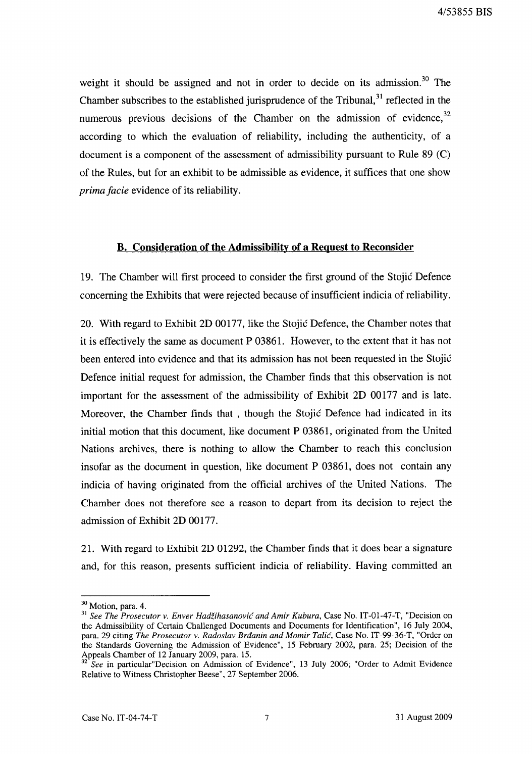weight it should be assigned and not in order to decide on its admission.<sup>30</sup> The Chamber subscribes to the established jurisprudence of the Tribunal,  $31$  reflected in the numerous previous decisions of the Chamber on the admission of evidence,  $32$ according to which the evaluation of reliability, including the authenticity, of a document is a component of the assessment of admissibility pursuant to Rule 89 (C) of the Rules, but for an exhibit to be admissible as evidence, it suffices that one show *prima facie* evidence of its reliability.

### **B. Consideration of the Admissibility of a Request to Reconsider**

19. The Chamber will first proceed to consider the first ground of the Stojic Defence concerning the Exhibits that were rejected because of insufficient indicia of reliability.

20. With regard to Exhibit 2D 00177, like the Stojic Defence, the Chamber notes that it is effectively the same as document P 03861. However, to the extent that it has not been entered into evidence and that its admission has not been requested in the Stojic Defence initial request for admission, the Chamber finds that this observation is not important for the assessment of the admissibility of Exhibit 2D 00177 and is late. Moreover, the Chamber finds that, though the Stojic Defence had indicated in its initial motion that this document, like document P 03861, originated from the United Nations archives, there is nothing to allow the Chamber to reach this conclusion insofar as the document in question, like document P 03861, does not contain any indicia of having originated from the official archives of the United Nations. The Chamber does not therefore see a reason to depart from its decision to reject the admission of Exhibit 2D 00177.

21. With regard to Exhibit 2D 01292, the Chamber finds that it does bear a signature and, for this reason, presents sufficient indicia of reliability. Having committed an

<sup>&</sup>lt;sup>30</sup> Motion, para. 4.

<sup>&</sup>lt;sup>31</sup> See The Prosecutor v. Enver Hadžihasanović and Amir Kubura, Case No. IT-01-47-T, "Decision on the Admissibility of Certain Challenged Documents and Documents for Identification", 16 July 2004, para. 29 citing *The Prosecutor v. Radoslav Brdanin and Momir Talic,* Case No. IT-99-36-T, "Order on the Standards Governing the Admission of Evidence", 15 February 2002, para. 25; Decision of the Appeals Chamber of 12 January 2009, para. 15.

*<sup>32</sup> See* in particular"Decision on Admission of Evidence", 13 July 2006; "Order to Admit Evidence Relative to Witness Christopher Beese", 27 September 2006.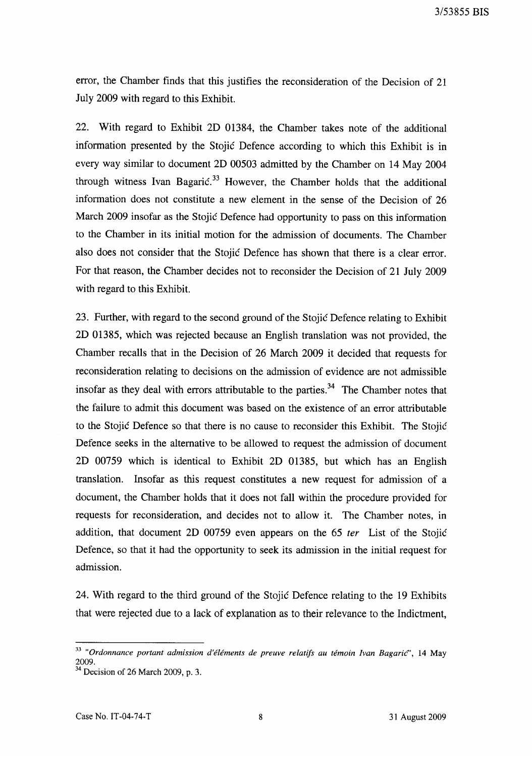error, the Chamber finds that this justifies the reconsideration of the Decision of 21 July 2009 with regard to this Exhibit.

22. With regard to Exhibit 2D 01384, the Chamber takes note of the additional information presented by the Stojic Defence according to which this Exhibit is in every way similar to document 2D 00503 admitted by the Chamber on 14 May 2004 through witness Ivan Bagaric.<sup>33</sup> However, the Chamber holds that the additional information does not constitute a new element in the sense of the Decision of 26 March 2009 insofar as the Stojic Defence had opportunity to pass on this information to the Chamber in its initial motion for the admission of documents. The Chamber also does not consider that the Stojic Defence has shown that there is a clear error. For that reason, the Chamber decides not to reconsider the Decision of 21 July 2009 with regard to this Exhibit.

23. Further, with regard to the second ground of the Stojic Defence relating to Exhibit 2D 01385, which was rejected because an English translation was not provided, the Chamber recalls that in the Decision of 26 March 2009 it decided that requests for reconsideration relating to decisions on the admission of evidence are not admissible insofar as they deal with errors attributable to the parties.<sup>34</sup> The Chamber notes that the failure to admit this document was based on the existence of an error attributable to the Stojic Defence so that there is no cause to reconsider this Exhibit. The Stojic Defence seeks in the alternative to be allowed to request the admission of document 2D 00759 which is identical to Exhibit 2D 01385, but which has an English translation. Insofar as this request constitutes a new request for admission of a document, the Chamber holds that it does not fall within the procedure provided for requests for reconsideration, and decides not to allow it. The Chamber notes, in addition, that document 2D 00759 even appears on the 65 fer List of the Stojic Defence, so that it had the opportunity to seek its admission in the initial request for admission.

24. With regard to the third ground of the Stojic Defence relating to the 19 Exhibits that were rejected due to a lack of explanation as to their relevance to the Indictment,

<sup>&</sup>lt;sup>33</sup> "Ordonnance portant admission d'éléments de preuve relatifs au témoin Ivan Bagaric<sup>o</sup>", 14 May 2009. 34 Decision of 26 March 2009, p. 3.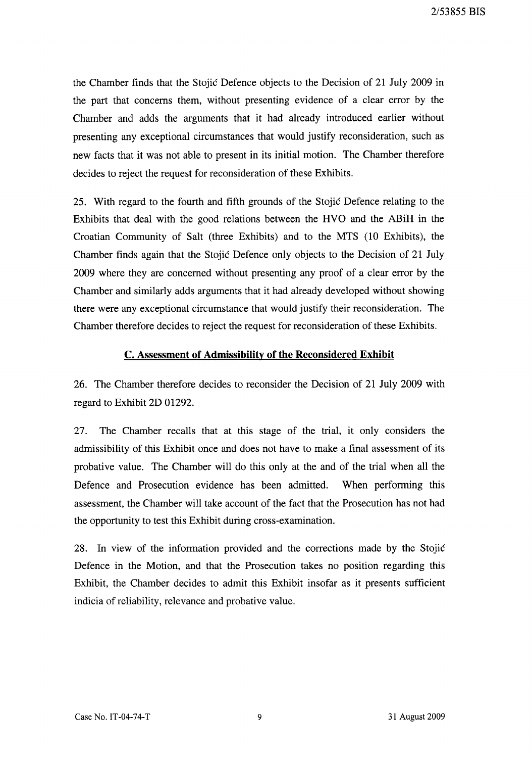the Chamber finds that the Stojic Defence objects to the Decision of 21 July 2009 in the part that concerns them, without presenting evidence of a clear error by the Chamber and adds the arguments that it had already introduced earlier without presenting any exceptional circumstances that would justify reconsideration, such as new facts that it was not able to present in its initial motion. The Chamber therefore decides to reject the request for reconsideration of these Exhibits.

25. With regard to the fourth and fifth grounds of the Stojic Defence relating to the Exhibits that deal with the good relations between the HVO and the ABiH in the Croatian Community of Salt (three Exhibits) and to the MTS (10 Exhibits), the Chamber finds again that the Stojic Defence only objects to the Decision of 21 July 2009 where they are concerned without presenting any proof of a clear error by the Chamber and similarly adds arguments that it had already developed without showing there were any exceptional circumstance that would justify their reconsideration. The Chamber therefore decides to reject the request for reconsideration of these Exhibits.

## c. Assessment of Admissibility of the Reconsidered Exhibit

26. The Chamber therefore decides to reconsider the Decision of 21 July 2009 with regard to Exhibit 2D 01292.

27. The Chamber recalls that at this stage of the trial, it only considers the admissibility of this Exhibit once and does not have to make a final assessment of its probative value. The Chamber will do this only at the and of the trial when all the Defence and Prosecution evidence has been admitted. When performing this assessment, the Chamber will take account of the fact that the Prosecution has not had the opportunity to test this Exhibit during cross-examination.

28. In view of the information provided and the corrections made by the Stojic Defence in the Motion, and that the Prosecution takes no position regarding this Exhibit, the Chamber decides to admit this Exhibit insofar as it presents sufficient indicia of reliability, relevance and probative value.